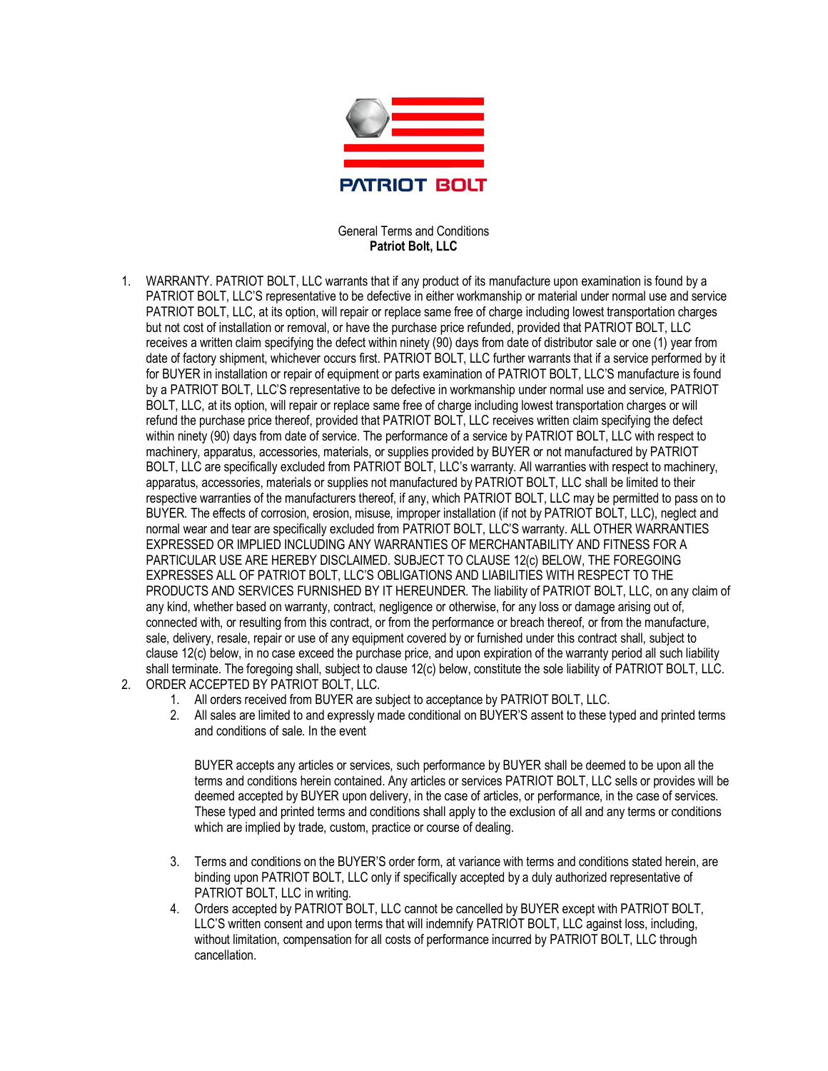

## General Terms and Conditions **Patriot Bolt, LLC**

- 1. WARRANTY. PATRIOT BOLT, LLC warrants that if any product of its manufacture upon examination is found by a PATRIOT BOLT, LLC'S representative to be defective in either workmanship or material under normal use and service PATRIOT BOLT, LLC, at its option, will repair or replace same free of charge including lowest transportation charges but not cost of installation or removal, or have the purchase price refunded, provided that PATRIOT BOLT, LLC receives a written claim specifying the defect within ninety (90) days from date of distributor sale or one (1) year from date of factory shipment, whichever occurs first. PATRIOT BOLT, LLC further warrants that if a service performed by it for BUYER in installation or repair of equipment or parts examination of PATRIOT BOLT, LLC'S manufacture is found by a PATRIOT BOLT, LLC'S representative to be defective in workmanship under normal use and service, PATRIOT BOLT, LLC, at its option, will repair or replace same free of charge including lowest transportation charges or will refund the purchase price thereof, provided that PATRIOT BOLT, LLC receives written claim specifying the defect within ninety (90) days from date of service. The performance of a service by PATRIOT BOLT, LLC with respect to machinery, apparatus, accessories, materials, or supplies provided by BUYER or not manufactured by PATRIOT BOLT, LLC are specifically excluded from PATRIOT BOLT, LLC's warranty. All warranties with respect to machinery, apparatus, accessories, materials or supplies not manufactured by PATRIOT BOLT, LLC shall be limited to their respective warranties of the manufacturers thereof, if any, which PATRIOT BOLT, LLC may be permitted to pass on to BUYER. The effects of corrosion, erosion, misuse, improper installation (if not by PATRIOT BOLT, LLC), neglect and normal wear and tear are specifically excluded from PATRIOT BOLT, LLC'S warranty. ALL OTHER WARRANTIES EXPRESSED OR IMPLIED INCLUDING ANY WARRANTIES OF MERCHANTABILITY AND FITNESS FOR A PARTICULAR USE ARE HEREBY DISCLAIMED. SUBJECT TO CLAUSE 12(c) BELOW, THE FOREGOING EXPRESSES ALL OF PATRIOT BOLT, LLC'S OBLIGATIONS AND LIABILITIES WITH RESPECT TO THE PRODUCTS AND SERVICES FURNISHED BY IT HEREUNDER. The liability of PATRIOT BOLT, LLC, on any claim of any kind, whether based on warranty, contract, negligence or otherwise, for any loss or damage arising out of, connected with, or resulting from this contract, or from the performance or breach thereof, or from the manufacture, sale, delivery, resale, repair or use of any equipment covered by or furnished under this contract shall, subject to clause 12(c) below, in no case exceed the purchase price, and upon expiration of the warranty period all such liability shall terminate. The foregoing shall, subject to clause 12(c) below, constitute the sole liability of PATRIOT BOLT, LLC.
- 2. ORDER ACCEPTED BY PATRIOT BOLT, LLC.
	- 1. All orders received from BUYER are subject to acceptance by PATRIOT BOLT, LLC.
	- 2. All sales are limited to and expressly made conditional on BUYER'S assent to these typed and printed terms and conditions of sale. In the event

BUYER accepts any articles or services, such performance by BUYER shall be deemed to be upon all the terms and conditions herein contained. Any articles or services PATRIOT BOLT, LLC sells or provides will be deemed accepted by BUYER upon delivery, in the case of articles, or performance, in the case of services. These typed and printed terms and conditions shall apply to the exclusion of all and any terms or conditions which are implied by trade, custom, practice or course of dealing.

- 3. Terms and conditions on the BUYER'S order form, at variance with terms and conditions stated herein, are binding upon PATRIOT BOLT, LLC only if specifically accepted by a duly authorized representative of PATRIOT BOLT, LLC in writing.
- 4. Orders accepted by PATRIOT BOLT, LLC cannot be cancelled by BUYER except with PATRIOT BOLT, LLC'S written consent and upon terms that will indemnify PATRIOT BOLT, LLC against loss, including, without limitation, compensation for all costs of performance incurred by PATRIOT BOLT, LLC through cancellation.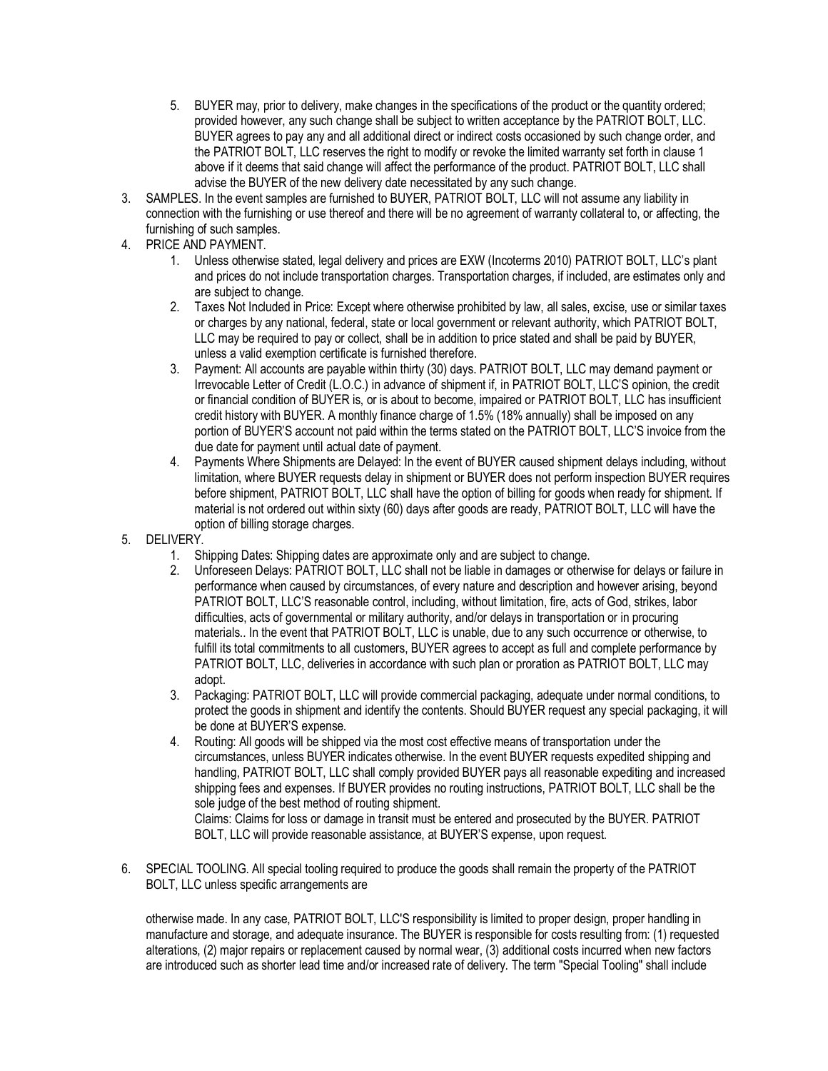- 5. BUYER may, prior to delivery, make changes in the specifications of the product or the quantity ordered; provided however, any such change shall be subject to written acceptance by the PATRIOT BOLT, LLC. BUYER agrees to pay any and all additional direct or indirect costs occasioned by such change order, and the PATRIOT BOLT, LLC reserves the right to modify or revoke the limited warranty set forth in clause 1 above if it deems that said change will affect the performance of the product. PATRIOT BOLT, LLC shall advise the BUYER of the new delivery date necessitated by any such change.
- 3. SAMPLES. In the event samples are furnished to BUYER, PATRIOT BOLT, LLC will not assume any liability in connection with the furnishing or use thereof and there will be no agreement of warranty collateral to, or affecting, the furnishing of such samples.
- 4. PRICE AND PAYMENT.
	- 1. Unless otherwise stated, legal delivery and prices are EXW (Incoterms 2010) PATRIOT BOLT, LLC's plant and prices do not include transportation charges. Transportation charges, if included, are estimates only and are subject to change.
	- 2. Taxes Not Included in Price: Except where otherwise prohibited by law, all sales, excise, use or similar taxes or charges by any national, federal, state or local government or relevant authority, which PATRIOT BOLT, LLC may be required to pay or collect, shall be in addition to price stated and shall be paid by BUYER, unless a valid exemption certificate is furnished therefore.
	- 3. Payment: All accounts are payable within thirty (30) days. PATRIOT BOLT, LLC may demand payment or Irrevocable Letter of Credit (L.O.C.) in advance of shipment if, in PATRIOT BOLT, LLC'S opinion, the credit or financial condition of BUYER is, or is about to become, impaired or PATRIOT BOLT, LLC has insufficient credit history with BUYER. A monthly finance charge of 1.5% (18% annually) shall be imposed on any portion of BUYER'S account not paid within the terms stated on the PATRIOT BOLT, LLC'S invoice from the due date for payment until actual date of payment.
	- 4. Payments Where Shipments are Delayed: In the event of BUYER caused shipment delays including, without limitation, where BUYER requests delay in shipment or BUYER does not perform inspection BUYER requires before shipment, PATRIOT BOLT, LLC shall have the option of billing for goods when ready for shipment. If material is not ordered out within sixty (60) days after goods are ready, PATRIOT BOLT, LLC will have the option of billing storage charges.
- 5. DELIVERY.
	- 1. Shipping Dates: Shipping dates are approximate only and are subject to change.
	- 2. Unforeseen Delays: PATRIOT BOLT, LLC shall not be liable in damages or otherwise for delays or failure in performance when caused by circumstances, of every nature and description and however arising, beyond PATRIOT BOLT, LLC'S reasonable control, including, without limitation, fire, acts of God, strikes, labor difficulties, acts of governmental or military authority, and/or delays in transportation or in procuring materials.. In the event that PATRIOT BOLT, LLC is unable, due to any such occurrence or otherwise, to fulfill its total commitments to all customers, BUYER agrees to accept as full and complete performance by PATRIOT BOLT, LLC, deliveries in accordance with such plan or proration as PATRIOT BOLT, LLC may adopt.
	- 3. Packaging: PATRIOT BOLT, LLC will provide commercial packaging, adequate under normal conditions, to protect the goods in shipment and identify the contents. Should BUYER request any special packaging, it will be done at BUYER'S expense.
	- 4. Routing: All goods will be shipped via the most cost effective means of transportation under the circumstances, unless BUYER indicates otherwise. In the event BUYER requests expedited shipping and handling, PATRIOT BOLT, LLC shall comply provided BUYER pays all reasonable expediting and increased shipping fees and expenses. If BUYER provides no routing instructions, PATRIOT BOLT, LLC shall be the sole judge of the best method of routing shipment.

Claims: Claims for loss or damage in transit must be entered and prosecuted by the BUYER. PATRIOT BOLT, LLC will provide reasonable assistance, at BUYER'S expense, upon request.

6. SPECIAL TOOLING. All special tooling required to produce the goods shall remain the property of the PATRIOT BOLT, LLC unless specific arrangements are

otherwise made. In any case, PATRIOT BOLT, LLC'S responsibility is limited to proper design, proper handling in manufacture and storage, and adequate insurance. The BUYER is responsible for costs resulting from: (1) requested alterations, (2) major repairs or replacement caused by normal wear, (3) additional costs incurred when new factors are introduced such as shorter lead time and/or increased rate of delivery. The term "Special Tooling" shall include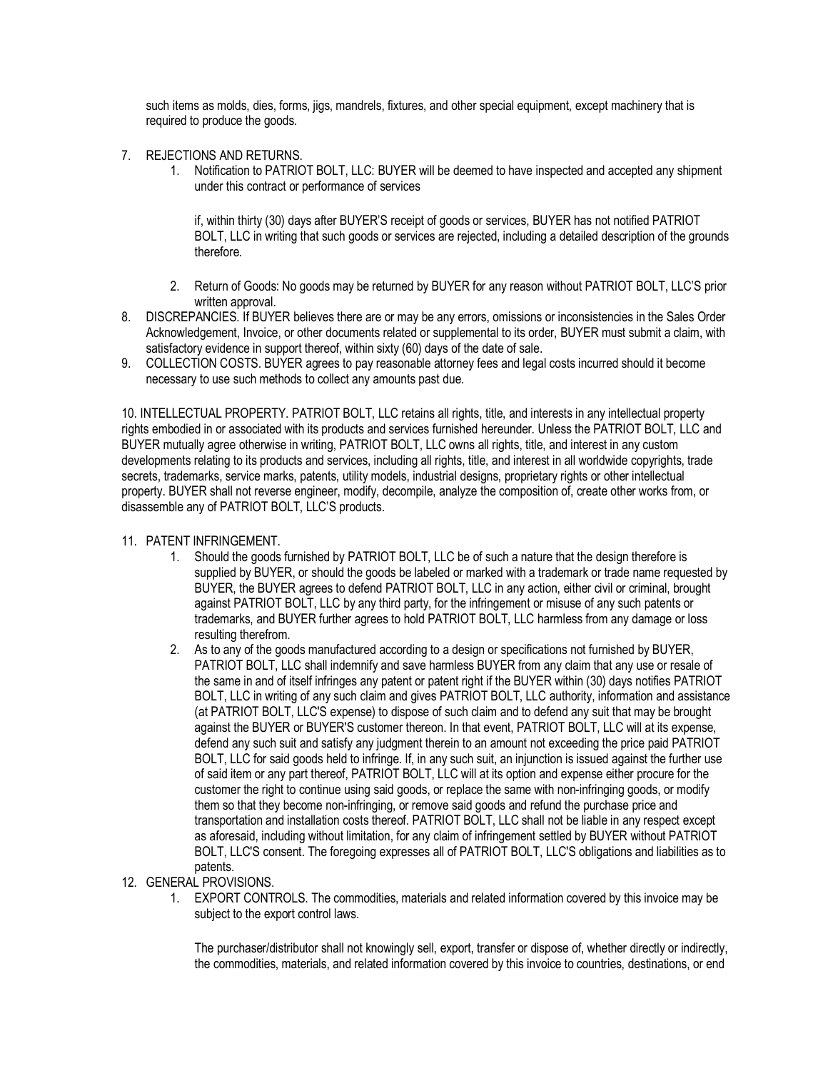such items as molds, dies, forms, jigs, mandrels, fixtures, and other special equipment, except machinery that is required to produce the goods.

- 7. REJECTIONS AND RETURNS.
	- 1. Notification to PATRIOT BOLT, LLC: BUYER will be deemed to have inspected and accepted any shipment under this contract or performance of services

if, within thirty (30) days after BUYER'S receipt of goods or services, BUYER has not notified PATRIOT BOLT, LLC in writing that such goods or services are rejected, including a detailed description of the grounds therefore.

- 2. Return of Goods: No goods may be returned by BUYER for any reason without PATRIOT BOLT, LLC'S prior written approval.
- 8. DISCREPANCIES. If BUYER believes there are or may be any errors, omissions or inconsistencies in the Sales Order Acknowledgement, Invoice, or other documents related or supplemental to its order, BUYER must submit a claim, with satisfactory evidence in support thereof, within sixty (60) days of the date of sale.
- 9. COLLECTION COSTS. BUYER agrees to pay reasonable attorney fees and legal costs incurred should it become necessary to use such methods to collect any amounts past due.

10. INTELLECTUAL PROPERTY. PATRIOT BOLT, LLC retains all rights, title, and interests in any intellectual property rights embodied in or associated with its products and services furnished hereunder. Unless the PATRIOT BOLT, LLC and BUYER mutually agree otherwise in writing, PATRIOT BOLT, LLC owns all rights, title, and interest in any custom developments relating to its products and services, including all rights, title, and interest in all worldwide copyrights, trade secrets, trademarks, service marks, patents, utility models, industrial designs, proprietary rights or other intellectual property. BUYER shall not reverse engineer, modify, decompile, analyze the composition of, create other works from, or disassemble any of PATRIOT BOLT, LLC'S products.

- 11. PATENT INFRINGEMENT.
	- 1. Should the goods furnished by PATRIOT BOLT, LLC be of such a nature that the design therefore is supplied by BUYER, or should the goods be labeled or marked with a trademark or trade name requested by BUYER, the BUYER agrees to defend PATRIOT BOLT, LLC in any action, either civil or criminal, brought against PATRIOT BOLT, LLC by any third party, for the infringement or misuse of any such patents or trademarks, and BUYER further agrees to hold PATRIOT BOLT, LLC harmless from any damage or loss resulting therefrom.
	- 2. As to any of the goods manufactured according to a design or specifications not furnished by BUYER, PATRIOT BOLT, LLC shall indemnify and save harmless BUYER from any claim that any use or resale of the same in and of itself infringes any patent or patent right if the BUYER within (30) days notifies PATRIOT BOLT, LLC in writing of any such claim and gives PATRIOT BOLT, LLC authority, information and assistance (at PATRIOT BOLT, LLC'S expense) to dispose of such claim and to defend any suit that may be brought against the BUYER or BUYER'S customer thereon. In that event, PATRIOT BOLT, LLC will at its expense, defend any such suit and satisfy any judgment therein to an amount not exceeding the price paid PATRIOT BOLT, LLC for said goods held to infringe. If, in any such suit, an injunction is issued against the further use of said item or any part thereof, PATRIOT BOLT, LLC will at its option and expense either procure for the customer the right to continue using said goods, or replace the same with non-infringing goods, or modify them so that they become non-infringing, or remove said goods and refund the purchase price and transportation and installation costs thereof. PATRIOT BOLT, LLC shall not be liable in any respect except as aforesaid, including without limitation, for any claim of infringement settled by BUYER without PATRIOT BOLT, LLC'S consent. The foregoing expresses all of PATRIOT BOLT, LLC'S obligations and liabilities as to patents.
- 12. GENERAL PROVISIONS.
	- 1. EXPORT CONTROLS. The commodities, materials and related information covered by this invoice may be subject to the export control laws.

The purchaser/distributor shall not knowingly sell, export, transfer or dispose of, whether directly or indirectly, the commodities, materials, and related information covered by this invoice to countries, destinations, or end